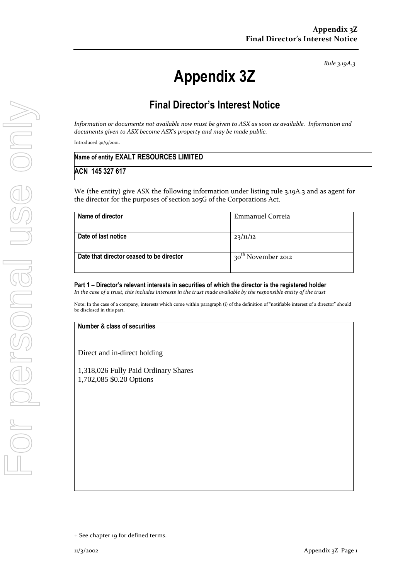*Rule 3.19A.3*

# **Appendix 3Z**

## **Final Director's Interest Notice**

*Information or documents not available now must be given to ASX as soon as available. Information and documents given to ASX become ASX's property and may be made public.*

Introduced 30/9/2001.

| Name of entity EXALT RESOURCES LIMITED |  |
|----------------------------------------|--|
| ACN 145 327 617                        |  |

We (the entity) give ASX the following information under listing rule 3.19A.3 and as agent for the director for the purposes of section 205G of the Corporations Act.

| Name of director                         | Emmanuel Correia                  |
|------------------------------------------|-----------------------------------|
|                                          |                                   |
| Date of last notice                      | 23/11/12                          |
|                                          |                                   |
| Date that director ceased to be director | 30 <sup>th</sup><br>November 2012 |
|                                          |                                   |

**Part 1 – Director's relevant interests in securities of which the director is the registered holder** *In the case of a trust, this includes interests in the trust made available by the responsible entity of the trust*

Note: In the case of a company, interests which come within paragraph (i) of the definition of "notifiable interest of a director" should be disclosed in this part.

**Number & class of securities**

Direct and in-direct holding

1,318,026 Fully Paid Ordinary Shares 1,702,085 \$0.20 Options

<sup>+</sup> See chapter 19 for defined terms.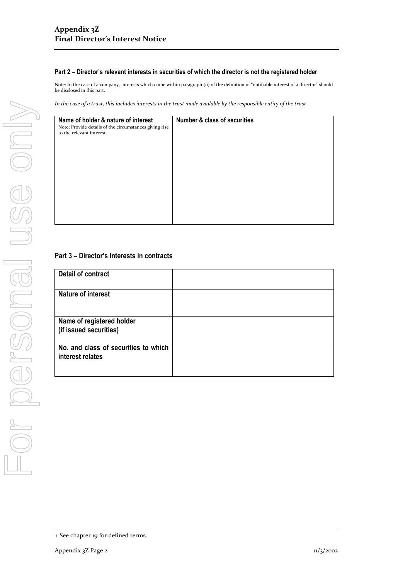#### **Part 2 – Director's relevant interests in securities of which the director is not the registered holder**

Note: In the case of a company, interests which come within paragraph (ii) of the definition of "notifiable interest of a director" should be disclosed in this part.

*In the case of a trust, this includes interests in the trust made available by the responsible entity of the trust*

| Name of holder & nature of interest<br>Note: Provide details of the circumstances giving rise<br>to the relevant interest | <b>Number &amp; class of securities</b> |
|---------------------------------------------------------------------------------------------------------------------------|-----------------------------------------|
|                                                                                                                           |                                         |

### **Part 3 – Director's interests in contracts**

| <b>Detail of contract</b>                                |  |
|----------------------------------------------------------|--|
| <b>Nature of interest</b>                                |  |
| Name of registered holder<br>(if issued securities)      |  |
| No. and class of securities to which<br>interest relates |  |

<sup>+</sup> See chapter 19 for defined terms.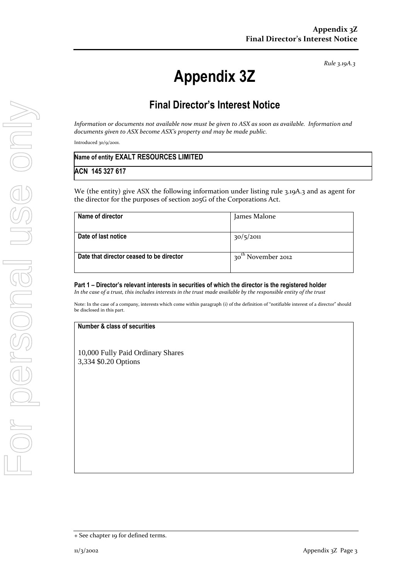*Rule 3.19A.3*

# **Appendix 3Z**

## **Final Director's Interest Notice**

*Information or documents not available now must be given to ASX as soon as available. Information and documents given to ASX become ASX's property and may be made public.*

Introduced 30/9/2001.

| Name of entity EXALT RESOURCES LIMITED |  |
|----------------------------------------|--|
| ACN 145 327 617                        |  |

We (the entity) give ASX the following information under listing rule 3.19A.3 and as agent for the director for the purposes of section 205G of the Corporations Act.

| Name of director                         | James Malone                   |
|------------------------------------------|--------------------------------|
|                                          |                                |
| Date of last notice                      | 30/5/2011                      |
|                                          |                                |
| Date that director ceased to be director | 30 <sup>th</sup> November 2012 |
|                                          |                                |

**Part 1 – Director's relevant interests in securities of which the director is the registered holder** *In the case of a trust, this includes interests in the trust made available by the responsible entity of the trust*

Note: In the case of a company, interests which come within paragraph (i) of the definition of "notifiable interest of a director" should be disclosed in this part.

**Number & class of securities**

10,000 Fully Paid Ordinary Shares 3,334 \$0.20 Options

<sup>+</sup> See chapter 19 for defined terms.